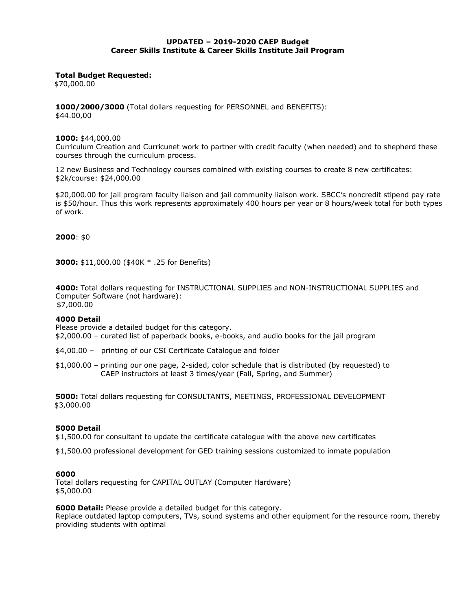#### **UPDATED – 2019-2020 CAEP Budget Career Skills Institute & Career Skills Institute Jail Program**

#### **Total Budget Requested:**

\$70,000.00

**1000/2000/3000** (Total dollars requesting for PERSONNEL and BENEFITS): \$44.00,00

#### **1000:** \$44,000.00

Curriculum Creation and Curricunet work to partner with credit faculty (when needed) and to shepherd these courses through the curriculum process.

12 new Business and Technology courses combined with existing courses to create 8 new certificates: \$2k/course: \$24,000.00

\$20,000.00 for jail program faculty liaison and jail community liaison work. SBCC's noncredit stipend pay rate is \$50/hour. Thus this work represents approximately 400 hours per year or 8 hours/week total for both types of work.

**2000**: \$0

**3000:** \$11,000.00 (\$40K \* .25 for Benefits)

**4000:** Total dollars requesting for INSTRUCTIONAL SUPPLIES and NON-INSTRUCTIONAL SUPPLIES and Computer Software (not hardware): \$7,000.00

#### **4000 Detail**

Please provide a detailed budget for this category.

\$2,000.00 – curated list of paperback books, e-books, and audio books for the jail program

\$4,00.00 – printing of our CSI Certificate Catalogue and folder

\$1,000.00 – printing our one page, 2-sided, color schedule that is distributed (by requested) to CAEP instructors at least 3 times/year (Fall, Spring, and Summer)

**5000:** Total dollars requesting for CONSULTANTS, MEETINGS, PROFESSIONAL DEVELOPMENT \$3,000.00

## **5000 Detail**

\$1,500.00 for consultant to update the certificate catalogue with the above new certificates

\$1,500.00 professional development for GED training sessions customized to inmate population

#### **6000**

Total dollars requesting for CAPITAL OUTLAY (Computer Hardware) \$5,000.00

## **6000 Detail:** Please provide a detailed budget for this category.

Replace outdated laptop computers, TVs, sound systems and other equipment for the resource room, thereby providing students with optimal